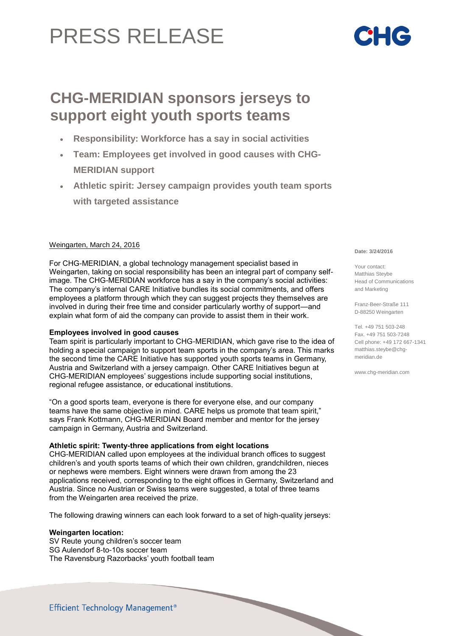# PRESS RELEASE

# **CHG-MERIDIAN sponsors jerseys to support eight youth sports teams**

- **Responsibility: Workforce has a say in social activities**
- **Team: Employees get involved in good causes with CHG-MERIDIAN support**
- **Athletic spirit: Jersey campaign provides youth team sports with targeted assistance**

# Weingarten, March 24, 2016

For CHG-MERIDIAN, a global technology management specialist based in Weingarten, taking on social responsibility has been an integral part of company selfimage. The CHG-MERIDIAN workforce has a say in the company's social activities: The company's internal CARE Initiative bundles its social commitments, and offers employees a platform through which they can suggest projects they themselves are involved in during their free time and consider particularly worthy of support—and explain what form of aid the company can provide to assist them in their work.

## **Employees involved in good causes**

Team spirit is particularly important to CHG-MERIDIAN, which gave rise to the idea of holding a special campaign to support team sports in the company's area. This marks the second time the CARE Initiative has supported youth sports teams in Germany, Austria and Switzerland with a jersey campaign. Other CARE Initiatives begun at CHG-MERIDIAN employees' suggestions include supporting social institutions, regional refugee assistance, or educational institutions.

"On a good sports team, everyone is there for everyone else, and our company teams have the same objective in mind. CARE helps us promote that team spirit," says Frank Kottmann, CHG-MERIDIAN Board member and mentor for the jersey campaign in Germany, Austria and Switzerland.

# **Athletic spirit: Twenty-three applications from eight locations**

CHG-MERIDIAN called upon employees at the individual branch offices to suggest children's and youth sports teams of which their own children, grandchildren, nieces or nephews were members. Eight winners were drawn from among the 23 applications received, corresponding to the eight offices in Germany, Switzerland and Austria. Since no Austrian or Swiss teams were suggested, a total of three teams from the Weingarten area received the prize.

The following drawing winners can each look forward to a set of high-quality jerseys:

## **Weingarten location:**

SV Reute young children's soccer team SG Aulendorf 8-to-10s soccer team The Ravensburg Razorbacks' youth football team

#### **Date: 3/24/2016**

Your contact: Matthias Steybe Head of Communications and Marketing

Franz-Beer-Straße 111 D-88250 Weingarten

Tel. +49 751 503-248 Fax. +49 751 503-7248 Cell phone: +49 172 667-1341 [matthias.steybe@chg](mailto:matthias.steybe@chg-)meridian.de

www.chg-meridian.com

Efficient Technology Management<sup>®</sup>